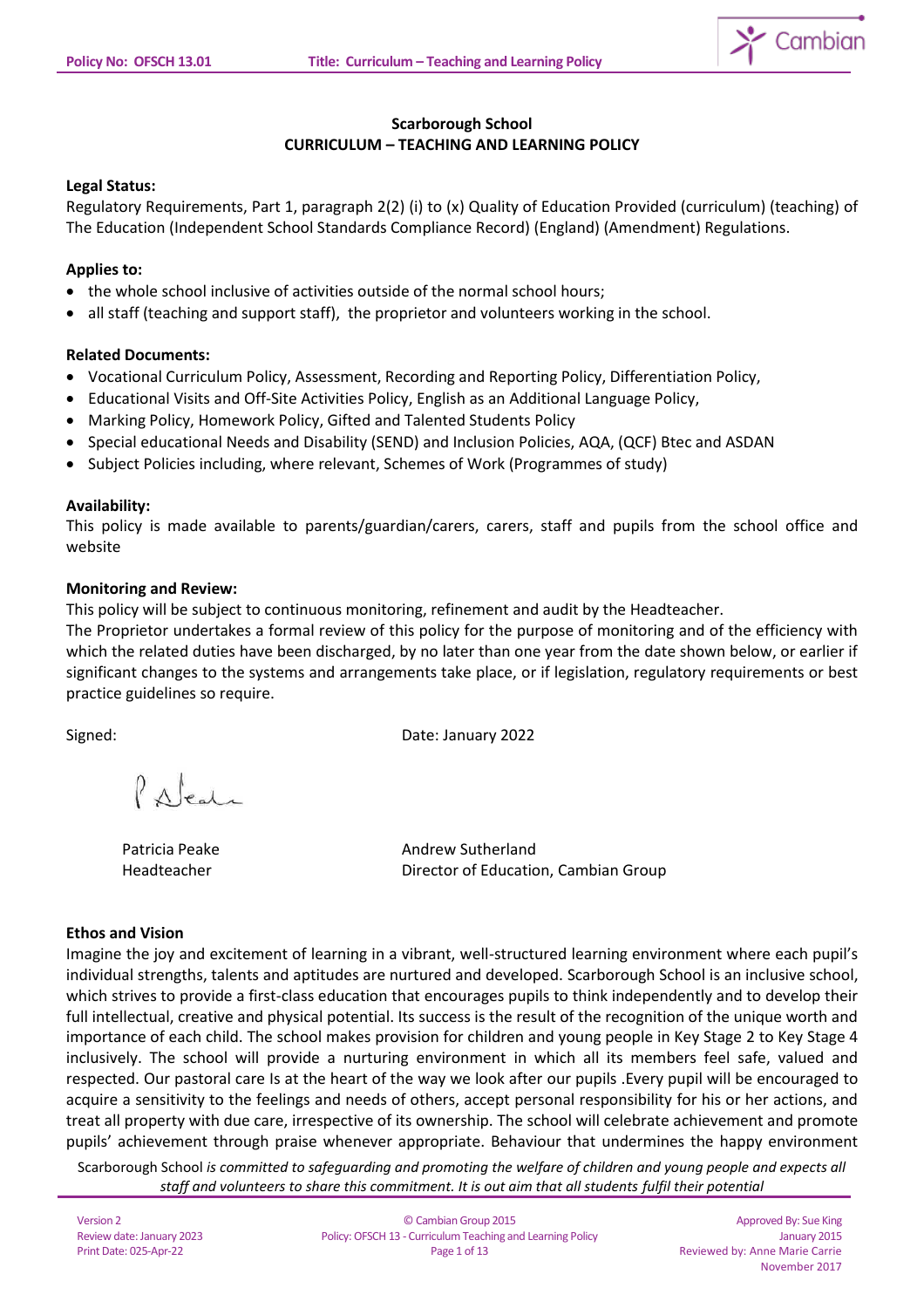

# **Scarborough School CURRICULUM – TEACHING AND LEARNING POLICY**

# **Legal Status:**

Regulatory Requirements, Part 1, paragraph 2(2) (i) to (x) Quality of Education Provided (curriculum) (teaching) of The Education (Independent School Standards Compliance Record) (England) (Amendment) Regulations.

## **Applies to:**

- the whole school inclusive of activities outside of the normal school hours;
- all staff (teaching and support staff), the proprietor and volunteers working in the school.

## **Related Documents:**

- Vocational Curriculum Policy, Assessment, Recording and Reporting Policy, Differentiation Policy,
- Educational Visits and Off-Site Activities Policy, English as an Additional Language Policy,
- Marking Policy, Homework Policy, Gifted and Talented Students Policy
- Special educational Needs and Disability (SEND) and Inclusion Policies, AQA, (QCF) Btec and ASDAN
- Subject Policies including, where relevant, Schemes of Work (Programmes of study)

## **Availability:**

This policy is made available to parents/guardian/carers, carers, staff and pupils from the school office and website

## **Monitoring and Review:**

This policy will be subject to continuous monitoring, refinement and audit by the Headteacher.

The Proprietor undertakes a formal review of this policy for the purpose of monitoring and of the efficiency with which the related duties have been discharged, by no later than one year from the date shown below, or earlier if significant changes to the systems and arrangements take place, or if legislation, regulatory requirements or best practice guidelines so require.

Signed: Date: January 2022

 $\rho_{A|_{rad}}$ 

Patricia Peake Andrew Sutherland Headteacher Director of Education, Cambian Group

## **Ethos and Vision**

Imagine the joy and excitement of learning in a vibrant, well-structured learning environment where each pupil's individual strengths, talents and aptitudes are nurtured and developed. Scarborough School is an inclusive school, which strives to provide a first-class education that encourages pupils to think independently and to develop their full intellectual, creative and physical potential. Its success is the result of the recognition of the unique worth and importance of each child. The school makes provision for children and young people in Key Stage 2 to Key Stage 4 inclusively. The school will provide a nurturing environment in which all its members feel safe, valued and respected. Our pastoral care Is at the heart of the way we look after our pupils .Every pupil will be encouraged to acquire a sensitivity to the feelings and needs of others, accept personal responsibility for his or her actions, and treat all property with due care, irrespective of its ownership. The school will celebrate achievement and promote pupils' achievement through praise whenever appropriate. Behaviour that undermines the happy environment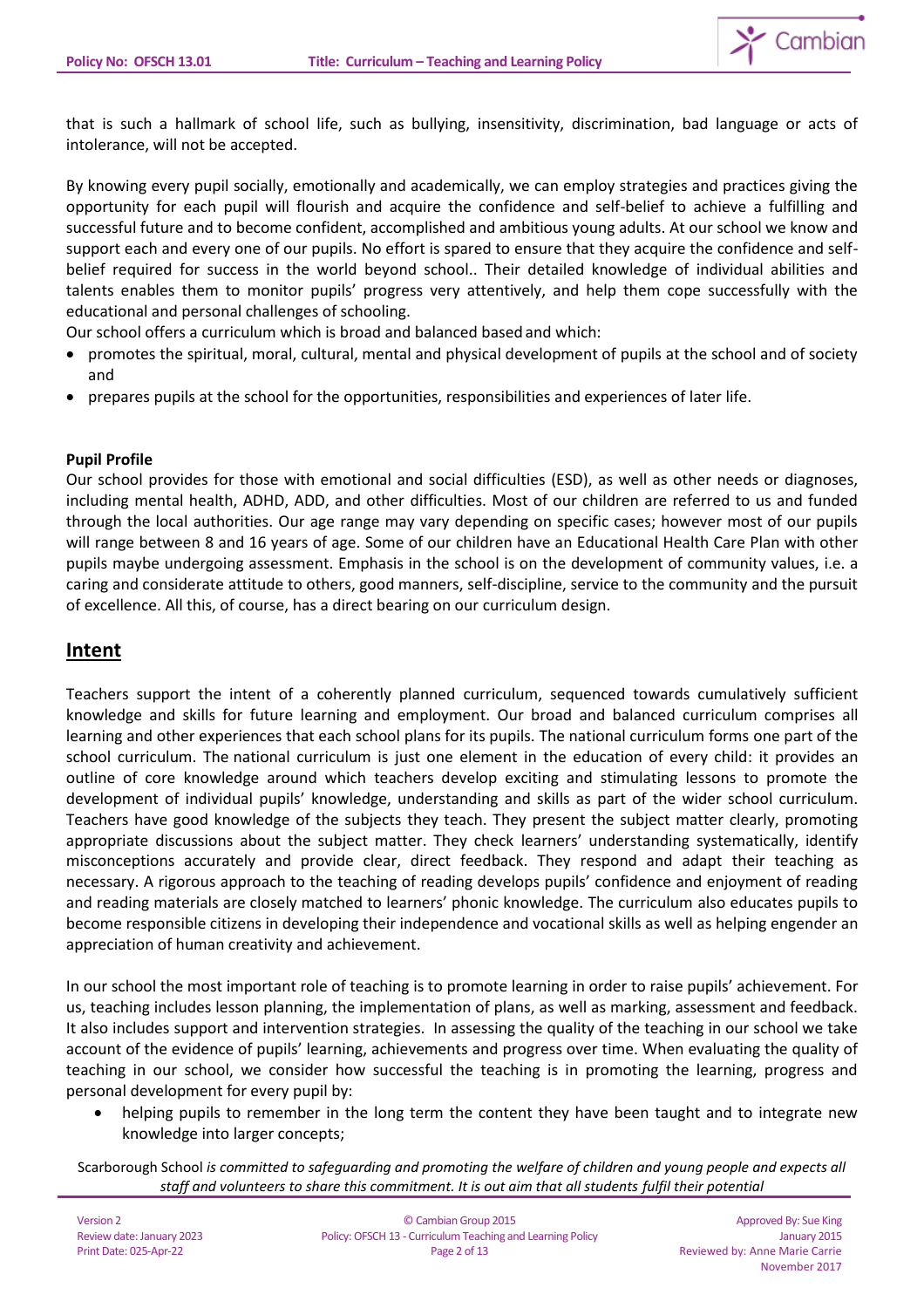

that is such a hallmark of school life, such as bullying, insensitivity, discrimination, bad language or acts of intolerance, will not be accepted.

By knowing every pupil socially, emotionally and academically, we can employ strategies and practices giving the opportunity for each pupil will flourish and acquire the confidence and self-belief to achieve a fulfilling and successful future and to become confident, accomplished and ambitious young adults. At our school we know and support each and every one of our pupils. No effort is spared to ensure that they acquire the confidence and selfbelief required for success in the world beyond school.. Their detailed knowledge of individual abilities and talents enables them to monitor pupils' progress very attentively, and help them cope successfully with the educational and personal challenges of schooling.

Our school offers a curriculum which is broad and balanced based and which:

- promotes the spiritual, moral, cultural, mental and physical development of pupils at the school and of society and
- prepares pupils at the school for the opportunities, responsibilities and experiences of later life.

## **Pupil Profile**

Our school provides for those with emotional and social difficulties (ESD), as well as other needs or diagnoses, including mental health, ADHD, ADD, and other difficulties. Most of our children are referred to us and funded through the local authorities. Our age range may vary depending on specific cases; however most of our pupils will range between 8 and 16 years of age. Some of our children have an Educational Health Care Plan with other pupils maybe undergoing assessment. Emphasis in the school is on the development of community values, i.e. a caring and considerate attitude to others, good manners, self-discipline, service to the community and the pursuit of excellence. All this, of course, has a direct bearing on our curriculum design.

# **Intent**

Teachers support the intent of a coherently planned curriculum, sequenced towards cumulatively sufficient knowledge and skills for future learning and employment. Our broad and balanced curriculum comprises all learning and other experiences that each school plans for its pupils. The national curriculum forms one part of the school curriculum. The national curriculum is just one element in the education of every child: it provides an outline of core knowledge around which teachers develop exciting and stimulating lessons to promote the development of individual pupils' knowledge, understanding and skills as part of the wider school curriculum. Teachers have good knowledge of the subjects they teach. They present the subject matter clearly, promoting appropriate discussions about the subject matter. They check learners' understanding systematically, identify misconceptions accurately and provide clear, direct feedback. They respond and adapt their teaching as necessary. A rigorous approach to the teaching of reading develops pupils' confidence and enjoyment of reading and reading materials are closely matched to learners' phonic knowledge. The curriculum also educates pupils to become responsible citizens in developing their independence and vocational skills as well as helping engender an appreciation of human creativity and achievement.

In our school the most important role of teaching is to promote learning in order to raise pupils' achievement. For us, teaching includes lesson planning, the implementation of plans, as well as marking, assessment and feedback. It also includes support and intervention strategies. In assessing the quality of the teaching in our school we take account of the evidence of pupils' learning, achievements and progress over time. When evaluating the quality of teaching in our school, we consider how successful the teaching is in promoting the learning, progress and personal development for every pupil by:

helping pupils to remember in the long term the content they have been taught and to integrate new knowledge into larger concepts;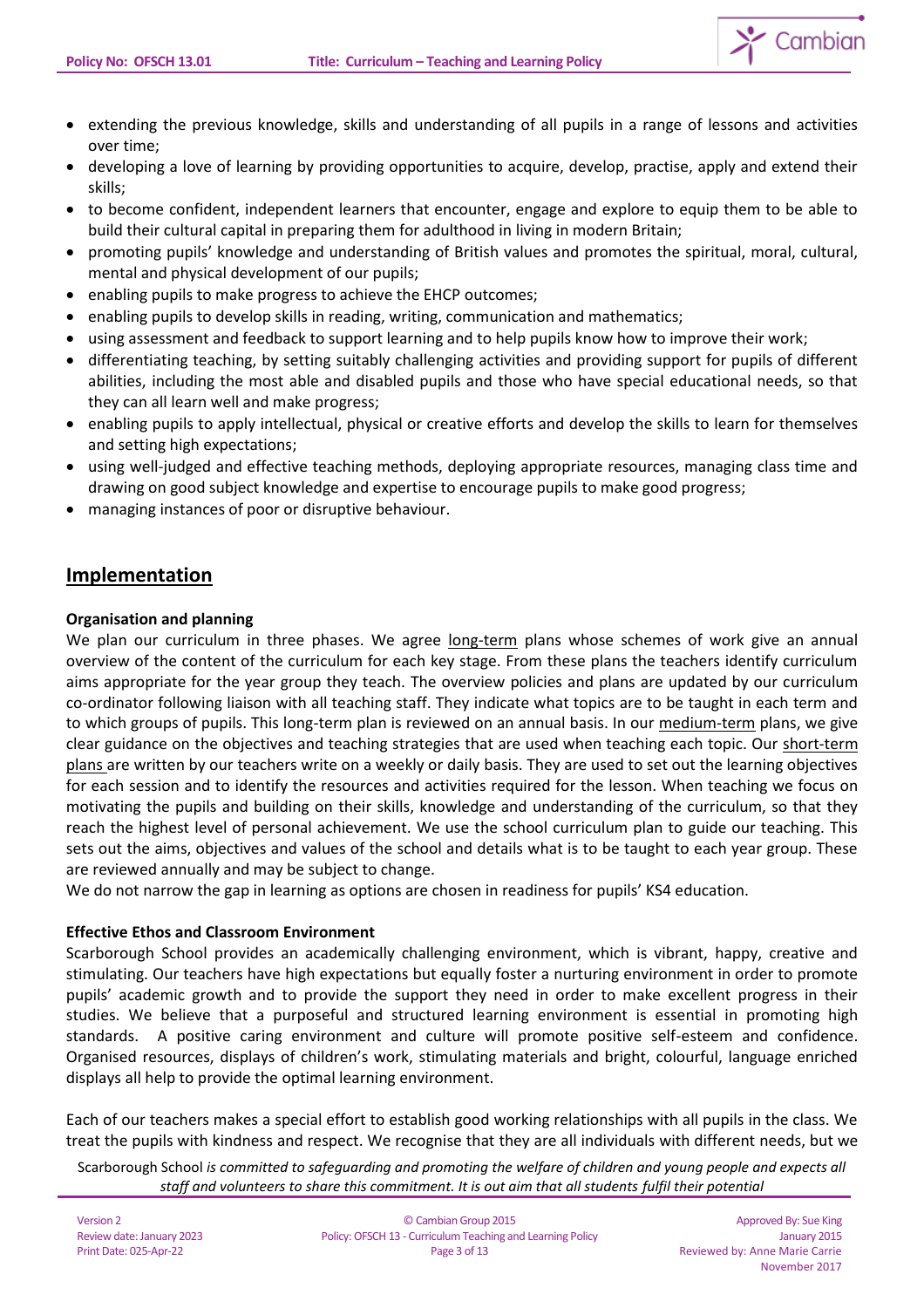

- developing a love of learning by providing opportunities to acquire, develop, practise, apply and extend their skills;
- to become confident, independent learners that encounter, engage and explore to equip them to be able to build their cultural capital in preparing them for adulthood in living in modern Britain;
- promoting pupils' knowledge and understanding of British values and promotes the spiritual, moral, cultural, mental and physical development of our pupils;
- enabling pupils to make progress to achieve the EHCP outcomes;
- enabling pupils to develop skills in reading, writing, communication and mathematics;
- using assessment and feedback to support learning and to help pupils know how to improve their work;
- differentiating teaching, by setting suitably challenging activities and providing support for pupils of different abilities, including the most able and disabled pupils and those who have special educational needs, so that they can all learn well and make progress;
- enabling pupils to apply intellectual, physical or creative efforts and develop the skills to learn for themselves and setting high expectations;
- using well-judged and effective teaching methods, deploying appropriate resources, managing class time and drawing on good subject knowledge and expertise to encourage pupils to make good progress;
- managing instances of poor or disruptive behaviour.

# **Implementation**

# **Organisation and planning**

We plan our curriculum in three phases. We agree long-term plans whose schemes of work give an annual overview of the content of the curriculum for each key stage. From these plans the teachers identify curriculum aims appropriate for the year group they teach. The overview policies and plans are updated by our curriculum co-ordinator following liaison with all teaching staff. They indicate what topics are to be taught in each term and to which groups of pupils. This long-term plan is reviewed on an annual basis. In our medium-term plans, we give clear guidance on the objectives and teaching strategies that are used when teaching each topic. Our short-term plans are written by our teachers write on a weekly or daily basis. They are used to set out the learning objectives for each session and to identify the resources and activities required for the lesson. When teaching we focus on motivating the pupils and building on their skills, knowledge and understanding of the curriculum, so that they reach the highest level of personal achievement. We use the school curriculum plan to guide our teaching. This sets out the aims, objectives and values of the school and details what is to be taught to each year group. These are reviewed annually and may be subject to change.

We do not narrow the gap in learning as options are chosen in readiness for pupils' KS4 education.

# **Effective Ethos and Classroom Environment**

Scarborough School provides an academically challenging environment, which is vibrant, happy, creative and stimulating. Our teachers have high expectations but equally foster a nurturing environment in order to promote pupils' academic growth and to provide the support they need in order to make excellent progress in their studies. We believe that a purposeful and structured learning environment is essential in promoting high standards. A positive caring environment and culture will promote positive self-esteem and confidence. Organised resources, displays of children's work, stimulating materials and bright, colourful, language enriched displays all help to provide the optimal learning environment.

Each of our teachers makes a special effort to establish good working relationships with all pupils in the class. We treat the pupils with kindness and respect. We recognise that they are all individuals with different needs, but we

Scarborough School *is committed to safeguarding and promoting the welfare of children and young people and expects all staff and volunteers to share this commitment. It is out aim that all students fulfil their potential*

 $\sum$  Cambian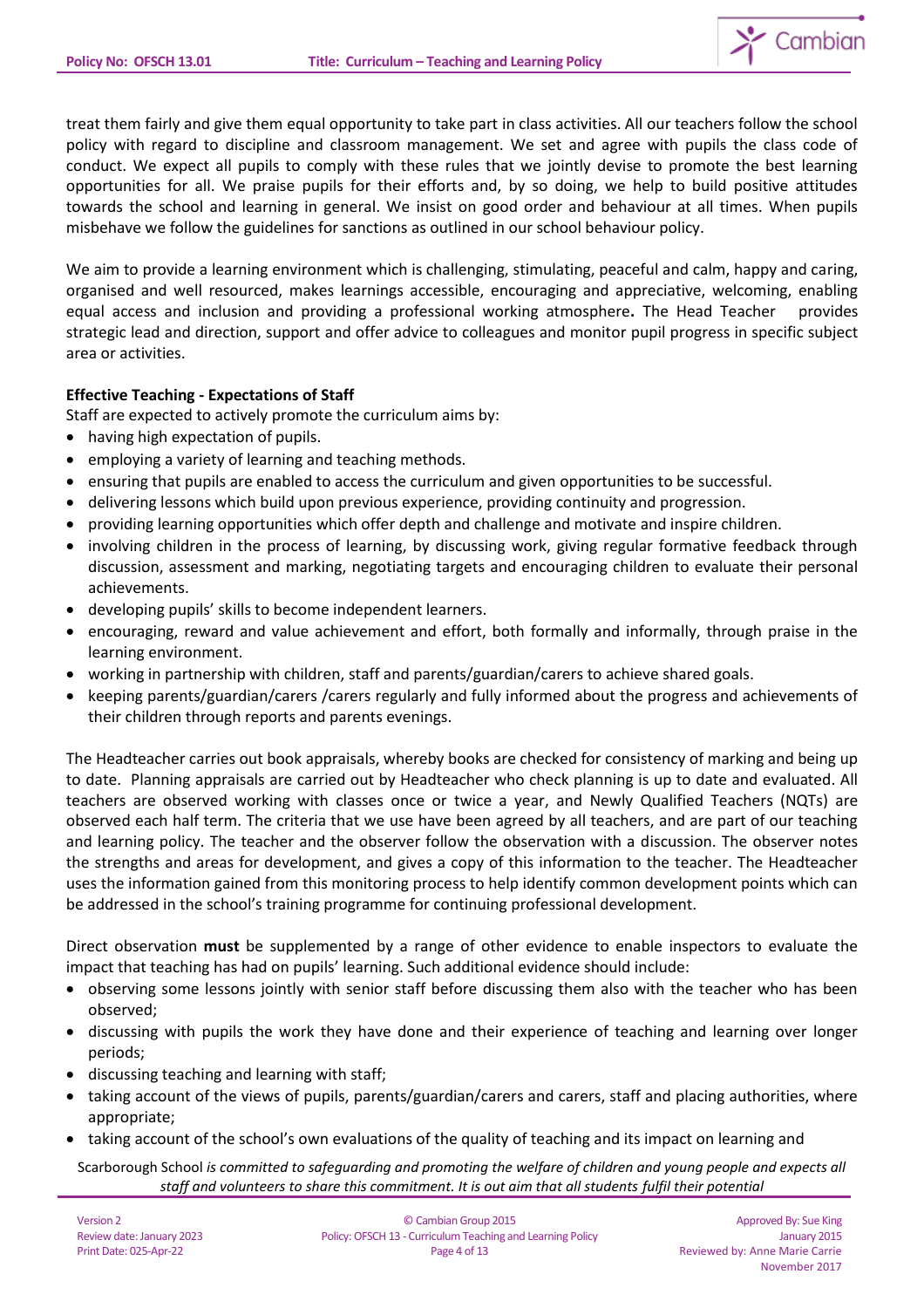treat them fairly and give them equal opportunity to take part in class activities. All our teachers follow the school policy with regard to discipline and classroom management. We set and agree with pupils the class code of conduct. We expect all pupils to comply with these rules that we jointly devise to promote the best learning opportunities for all. We praise pupils for their efforts and, by so doing, we help to build positive attitudes towards the school and learning in general. We insist on good order and behaviour at all times. When pupils misbehave we follow the guidelines for sanctions as outlined in our school behaviour policy.

We aim to provide a learning environment which is challenging, stimulating, peaceful and calm, happy and caring, organised and well resourced, makes learnings accessible, encouraging and appreciative, welcoming, enabling equal access and inclusion and providing a professional working atmosphere**.** The Head Teacher provides strategic lead and direction, support and offer advice to colleagues and monitor pupil progress in specific subject area or activities.

# **Effective Teaching - Expectations of Staff**

Staff are expected to actively promote the curriculum aims by:

- having high expectation of pupils.
- employing a variety of learning and teaching methods.
- ensuring that pupils are enabled to access the curriculum and given opportunities to be successful.
- delivering lessons which build upon previous experience, providing continuity and progression.
- providing learning opportunities which offer depth and challenge and motivate and inspire children.
- involving children in the process of learning, by discussing work, giving regular formative feedback through discussion, assessment and marking, negotiating targets and encouraging children to evaluate their personal achievements.
- developing pupils' skills to become independent learners.
- encouraging, reward and value achievement and effort, both formally and informally, through praise in the learning environment.
- working in partnership with children, staff and parents/guardian/carers to achieve shared goals.
- keeping parents/guardian/carers /carers regularly and fully informed about the progress and achievements of their children through reports and parents evenings.

The Headteacher carries out book appraisals, whereby books are checked for consistency of marking and being up to date. Planning appraisals are carried out by Headteacher who check planning is up to date and evaluated. All teachers are observed working with classes once or twice a year, and Newly Qualified Teachers (NQTs) are observed each half term. The criteria that we use have been agreed by all teachers, and are part of our teaching and learning policy. The teacher and the observer follow the observation with a discussion. The observer notes the strengths and areas for development, and gives a copy of this information to the teacher. The Headteacher uses the information gained from this monitoring process to help identify common development points which can be addressed in the school's training programme for continuing professional development.

Direct observation **must** be supplemented by a range of other evidence to enable inspectors to evaluate the impact that teaching has had on pupils' learning. Such additional evidence should include:

- observing some lessons jointly with senior staff before discussing them also with the teacher who has been observed;
- discussing with pupils the work they have done and their experience of teaching and learning over longer periods;
- discussing teaching and learning with staff;
- taking account of the views of pupils, parents/guardian/carers and carers, staff and placing authorities, where appropriate;
- taking account of the school's own evaluations of the quality of teaching and its impact on learning and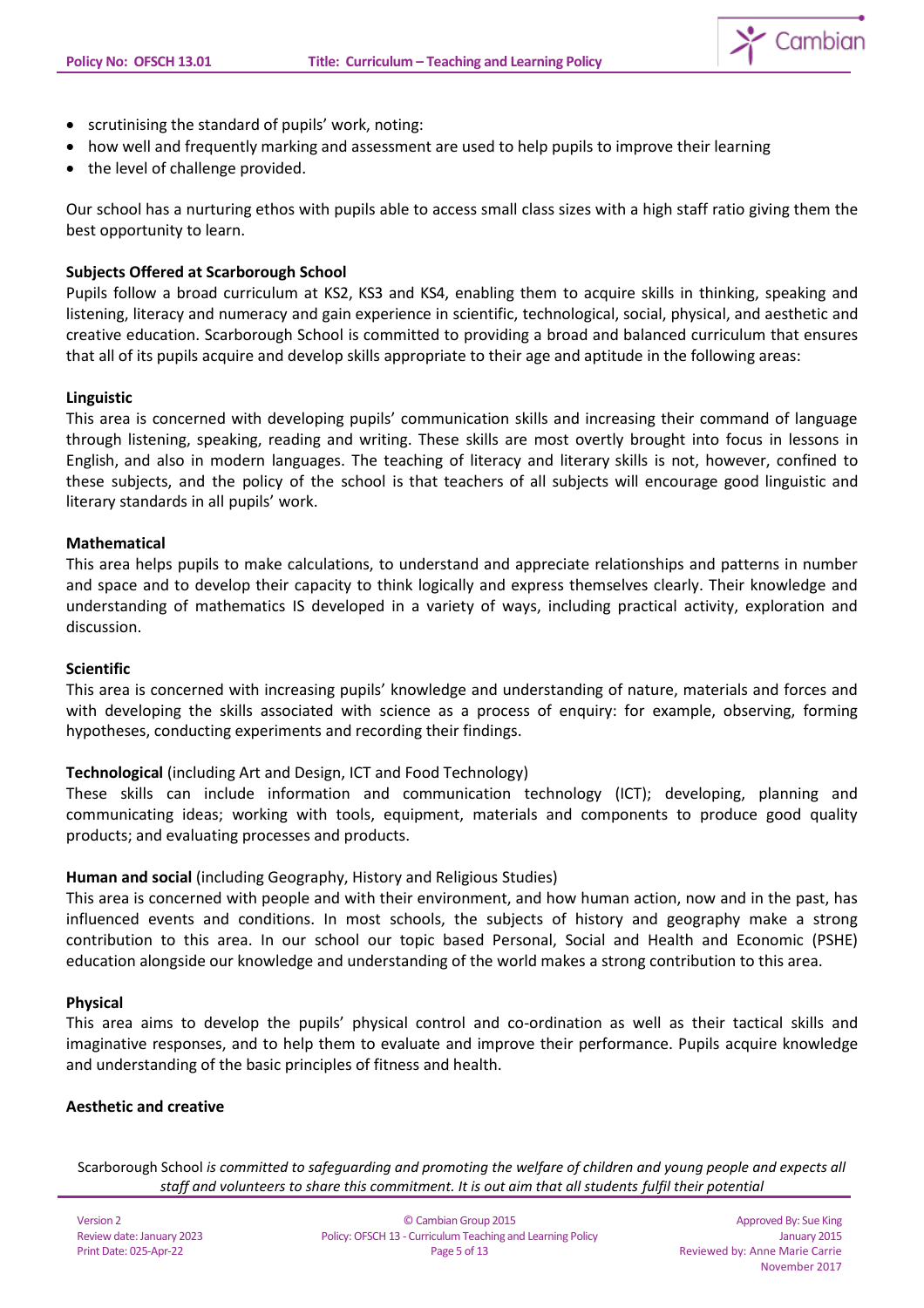

- scrutinising the standard of pupils' work, noting:
- how well and frequently marking and assessment are used to help pupils to improve their learning
- the level of challenge provided.

Our school has a nurturing ethos with pupils able to access small class sizes with a high staff ratio giving them the best opportunity to learn.

## **Subjects Offered at Scarborough School**

Pupils follow a broad curriculum at KS2, KS3 and KS4, enabling them to acquire skills in thinking, speaking and listening, literacy and numeracy and gain experience in scientific, technological, social, physical, and aesthetic and creative education. Scarborough School is committed to providing a broad and balanced curriculum that ensures that all of its pupils acquire and develop skills appropriate to their age and aptitude in the following areas:

## **Linguistic**

This area is concerned with developing pupils' communication skills and increasing their command of language through listening, speaking, reading and writing. These skills are most overtly brought into focus in lessons in English, and also in modern languages. The teaching of literacy and literary skills is not, however, confined to these subjects, and the policy of the school is that teachers of all subjects will encourage good linguistic and literary standards in all pupils' work.

## **Mathematical**

This area helps pupils to make calculations, to understand and appreciate relationships and patterns in number and space and to develop their capacity to think logically and express themselves clearly. Their knowledge and understanding of mathematics IS developed in a variety of ways, including practical activity, exploration and discussion.

## **Scientific**

This area is concerned with increasing pupils' knowledge and understanding of nature, materials and forces and with developing the skills associated with science as a process of enquiry: for example, observing, forming hypotheses, conducting experiments and recording their findings.

## **Technological** (including Art and Design, ICT and Food Technology)

These skills can include information and communication technology (ICT); developing, planning and communicating ideas; working with tools, equipment, materials and components to produce good quality products; and evaluating processes and products.

## **Human and social** (including Geography, History and Religious Studies)

This area is concerned with people and with their environment, and how human action, now and in the past, has influenced events and conditions. In most schools, the subjects of history and geography make a strong contribution to this area. In our school our topic based Personal, Social and Health and Economic (PSHE) education alongside our knowledge and understanding of the world makes a strong contribution to this area.

## **Physical**

This area aims to develop the pupils' physical control and co-ordination as well as their tactical skills and imaginative responses, and to help them to evaluate and improve their performance. Pupils acquire knowledge and understanding of the basic principles of fitness and health.

## **Aesthetic and creative**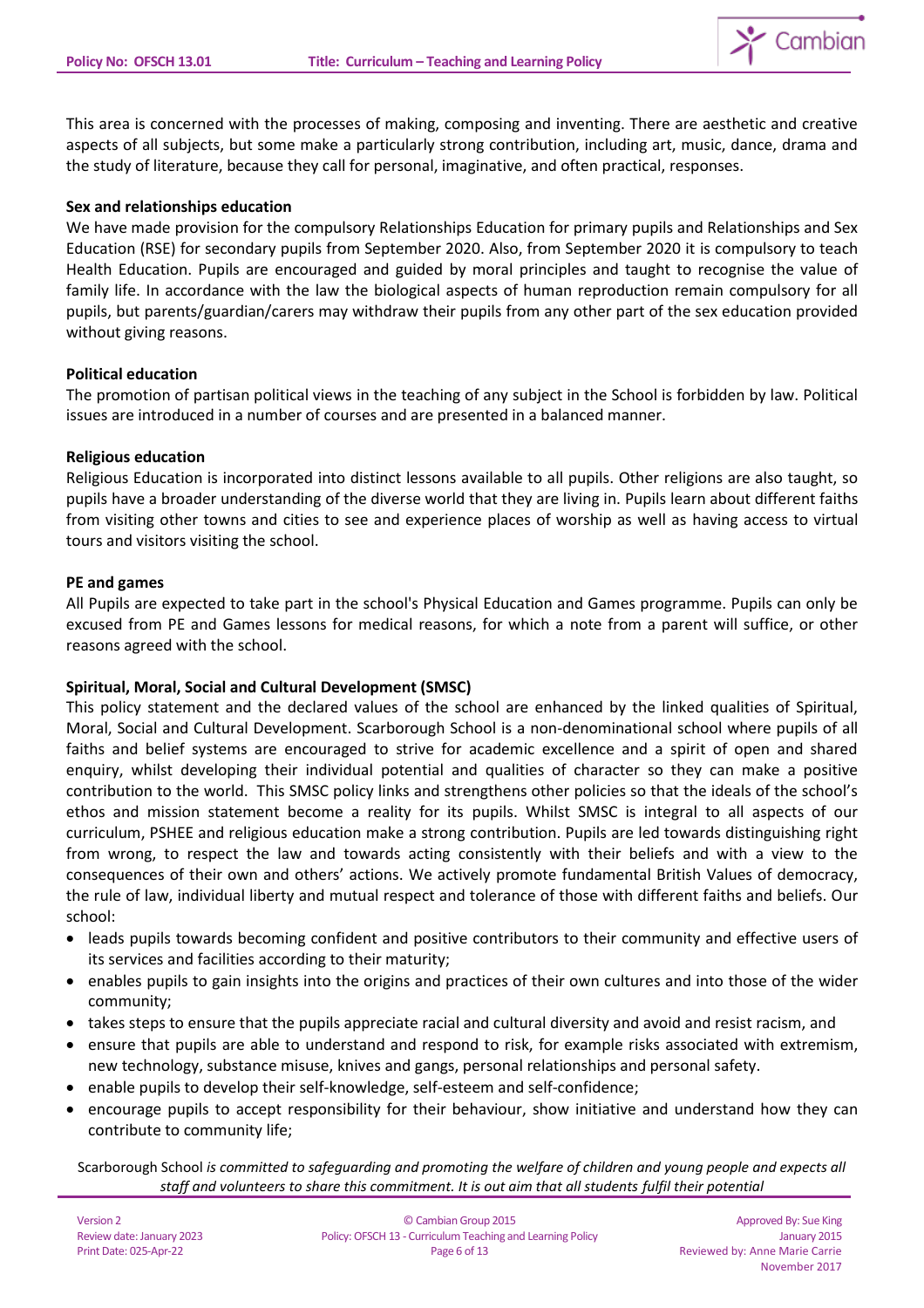

This area is concerned with the processes of making, composing and inventing. There are aesthetic and creative aspects of all subjects, but some make a particularly strong contribution, including art, music, dance, drama and the study of literature, because they call for personal, imaginative, and often practical, responses.

## **Sex and relationships education**

We have made provision for the compulsory [Relationships Education for primary pupils and Relationships and Sex](https://www.gov.uk/government/publications/relationships-education-relationships-and-sex-education-rse-and-health-education)  [Education \(RSE\)](https://www.gov.uk/government/publications/relationships-education-relationships-and-sex-education-rse-and-health-education) for secondary pupils from September 2020. Also, from September 2020 it is compulsory to teach Health Education. Pupils are encouraged and guided by moral principles and taught to recognise the value of family life. In accordance with the law the biological aspects of human reproduction remain compulsory for all pupils, but parents/guardian/carers may withdraw their pupils from any other part of the sex education provided without giving reasons.

## **Political education**

The promotion of partisan political views in the teaching of any subject in the School is forbidden by law. Political issues are introduced in a number of courses and are presented in a balanced manner.

## **Religious education**

Religious Education is incorporated into distinct lessons available to all pupils. Other religions are also taught, so pupils have a broader understanding of the diverse world that they are living in. Pupils learn about different faiths from visiting other towns and cities to see and experience places of worship as well as having access to virtual tours and visitors visiting the school.

## **PE and games**

All Pupils are expected to take part in the school's Physical Education and Games programme. Pupils can only be excused from PE and Games lessons for medical reasons, for which a note from a parent will suffice, or other reasons agreed with the school.

# **Spiritual, Moral, Social and Cultural Development (SMSC)**

This policy statement and the declared values of the school are enhanced by the linked qualities of Spiritual, Moral, Social and Cultural Development. Scarborough School is a non-denominational school where pupils of all faiths and belief systems are encouraged to strive for academic excellence and a spirit of open and shared enquiry, whilst developing their individual potential and qualities of character so they can make a positive contribution to the world. This SMSC policy links and strengthens other policies so that the ideals of the school's ethos and mission statement become a reality for its pupils. Whilst SMSC is integral to all aspects of our curriculum, PSHEE and religious education make a strong contribution. Pupils are led towards distinguishing right from wrong, to respect the law and towards acting consistently with their beliefs and with a view to the consequences of their own and others' actions. We actively promote fundamental British Values of democracy, the rule of law, individual liberty and mutual respect and tolerance of those with different faiths and beliefs. Our school:

- leads pupils towards becoming confident and positive contributors to their community and effective users of its services and facilities according to their maturity;
- enables pupils to gain insights into the origins and practices of their own cultures and into those of the wider community;
- takes steps to ensure that the pupils appreciate racial and cultural diversity and avoid and resist racism, and
- ensure that pupils are able to understand and respond to risk, for example risks associated with extremism, new technology, substance misuse, knives and gangs, personal relationships and personal safety.
- enable pupils to develop their self-knowledge, self-esteem and self-confidence;
- encourage pupils to accept responsibility for their behaviour, show initiative and understand how they can contribute to community life;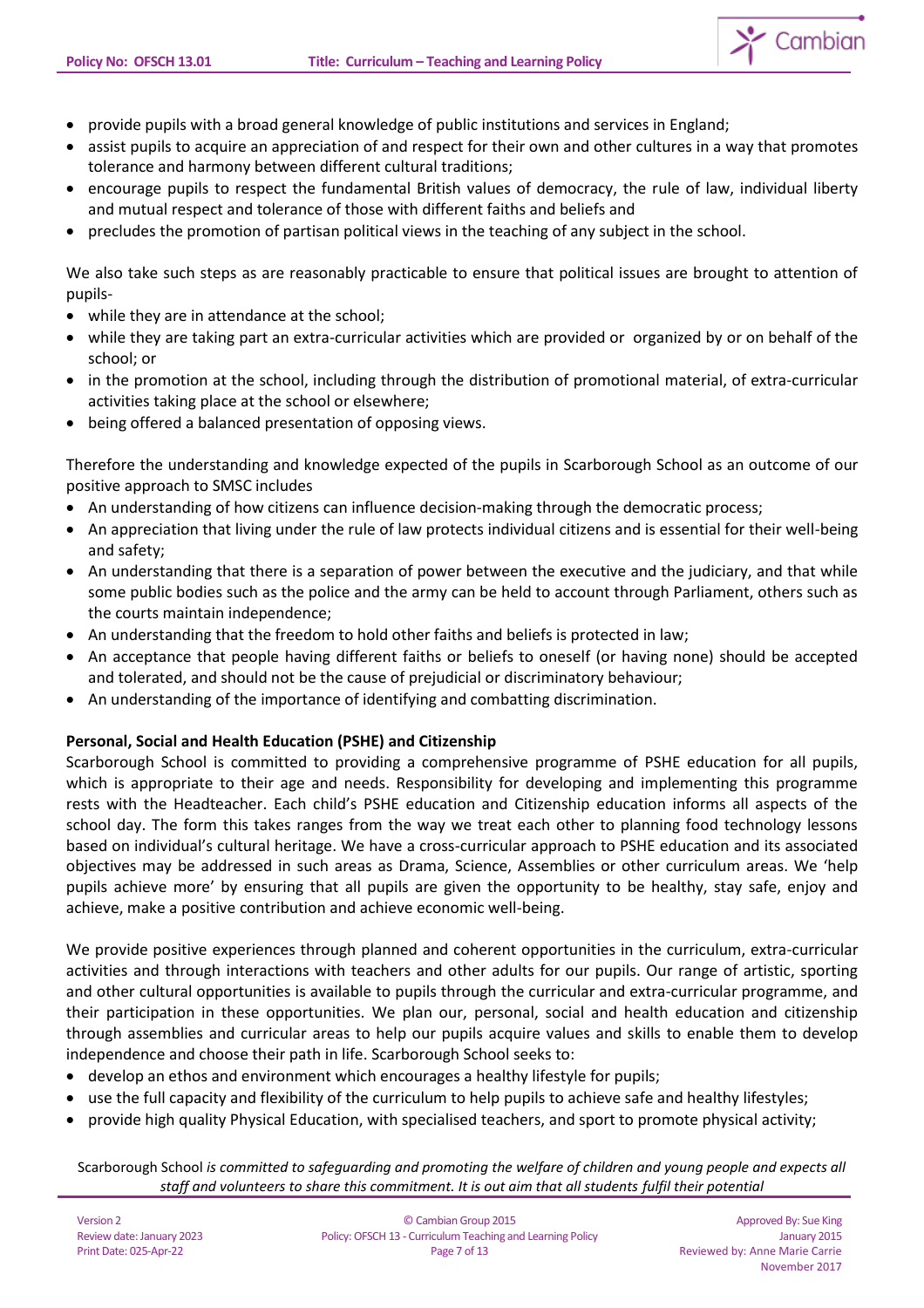

- provide pupils with a broad general knowledge of public institutions and services in England;
- assist pupils to acquire an appreciation of and respect for their own and other cultures in a way that promotes tolerance and harmony between different cultural traditions;
- encourage pupils to respect the fundamental British values of democracy, the rule of law, individual liberty and mutual respect and tolerance of those with different faiths and beliefs and
- precludes the promotion of partisan political views in the teaching of any subject in the school.

We also take such steps as are reasonably practicable to ensure that political issues are brought to attention of pupils-

- while they are in attendance at the school;
- while they are taking part an extra-curricular activities which are provided or organized by or on behalf of the school; or
- in the promotion at the school, including through the distribution of promotional material, of extra-curricular activities taking place at the school or elsewhere;
- being offered a balanced presentation of opposing views.

Therefore the understanding and knowledge expected of the pupils in Scarborough School as an outcome of our positive approach to SMSC includes

- An understanding of how citizens can influence decision-making through the democratic process;
- An appreciation that living under the rule of law protects individual citizens and is essential for their well-being and safety;
- An understanding that there is a separation of power between the executive and the judiciary, and that while some public bodies such as the police and the army can be held to account through Parliament, others such as the courts maintain independence;
- An understanding that the freedom to hold other faiths and beliefs is protected in law;
- An acceptance that people having different faiths or beliefs to oneself (or having none) should be accepted and tolerated, and should not be the cause of prejudicial or discriminatory behaviour;
- An understanding of the importance of identifying and combatting discrimination.

## **Personal, Social and Health Education (PSHE) and Citizenship**

Scarborough School is committed to providing a comprehensive programme of PSHE education for all pupils, which is appropriate to their age and needs. Responsibility for developing and implementing this programme rests with the Headteacher. Each child's PSHE education and Citizenship education informs all aspects of the school day. The form this takes ranges from the way we treat each other to planning food technology lessons based on individual's cultural heritage. We have a cross-curricular approach to PSHE education and its associated objectives may be addressed in such areas as Drama, Science, Assemblies or other curriculum areas. We 'help pupils achieve more' by ensuring that all pupils are given the opportunity to be healthy, stay safe, enjoy and achieve, make a positive contribution and achieve economic well-being.

We provide positive experiences through planned and coherent opportunities in the curriculum, extra-curricular activities and through interactions with teachers and other adults for our pupils. Our range of artistic, sporting and other cultural opportunities is available to pupils through the curricular and extra-curricular programme, and their participation in these opportunities. We plan our, personal, social and health education and citizenship through assemblies and curricular areas to help our pupils acquire values and skills to enable them to develop independence and choose their path in life. Scarborough School seeks to:

- develop an ethos and environment which encourages a healthy lifestyle for pupils;
- use the full capacity and flexibility of the curriculum to help pupils to achieve safe and healthy lifestyles;
- provide high quality Physical Education, with specialised teachers, and sport to promote physical activity;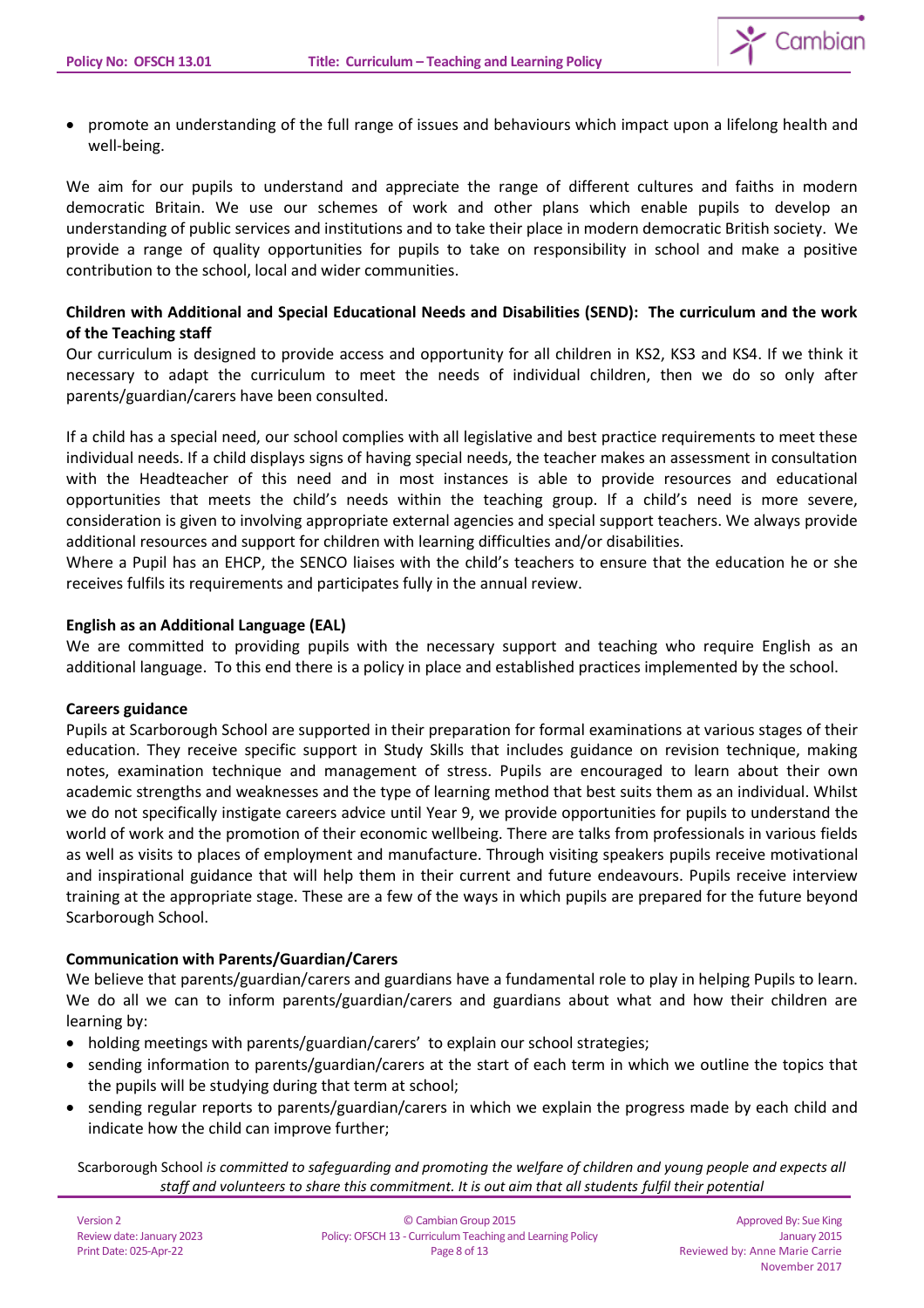

• promote an understanding of the full range of issues and behaviours which impact upon a lifelong health and well-being.

We aim for our pupils to understand and appreciate the range of different cultures and faiths in modern democratic Britain. We use our schemes of work and other plans which enable pupils to develop an understanding of public services and institutions and to take their place in modern democratic British society. We provide a range of quality opportunities for pupils to take on responsibility in school and make a positive contribution to the school, local and wider communities.

# **Children with Additional and Special Educational Needs and Disabilities (SEND): The curriculum and the work of the Teaching staff**

Our curriculum is designed to provide access and opportunity for all children in KS2, KS3 and KS4. If we think it necessary to adapt the curriculum to meet the needs of individual children, then we do so only after parents/guardian/carers have been consulted.

If a child has a special need, our school complies with all legislative and best practice requirements to meet these individual needs. If a child displays signs of having special needs, the teacher makes an assessment in consultation with the Headteacher of this need and in most instances is able to provide resources and educational opportunities that meets the child's needs within the teaching group. If a child's need is more severe, consideration is given to involving appropriate external agencies and special support teachers. We always provide additional resources and support for children with learning difficulties and/or disabilities.

Where a Pupil has an EHCP, the SENCO liaises with the child's teachers to ensure that the education he or she receives fulfils its requirements and participates fully in the annual review.

# **English as an Additional Language (EAL)**

We are committed to providing pupils with the necessary support and teaching who require English as an additional language. To this end there is a policy in place and established practices implemented by the school.

# **Careers guidance**

Pupils at Scarborough School are supported in their preparation for formal examinations at various stages of their education. They receive specific support in Study Skills that includes guidance on revision technique, making notes, examination technique and management of stress. Pupils are encouraged to learn about their own academic strengths and weaknesses and the type of learning method that best suits them as an individual. Whilst we do not specifically instigate careers advice until Year 9, we provide opportunities for pupils to understand the world of work and the promotion of their economic wellbeing. There are talks from professionals in various fields as well as visits to places of employment and manufacture. Through visiting speakers pupils receive motivational and inspirational guidance that will help them in their current and future endeavours. Pupils receive interview training at the appropriate stage. These are a few of the ways in which pupils are prepared for the future beyond Scarborough School.

# **Communication with Parents/Guardian/Carers**

We believe that parents/guardian/carers and guardians have a fundamental role to play in helping Pupils to learn. We do all we can to inform parents/guardian/carers and guardians about what and how their children are learning by:

- holding meetings with parents/guardian/carers' to explain our school strategies;
- sending information to parents/guardian/carers at the start of each term in which we outline the topics that the pupils will be studying during that term at school;
- sending regular reports to parents/guardian/carers in which we explain the progress made by each child and indicate how the child can improve further;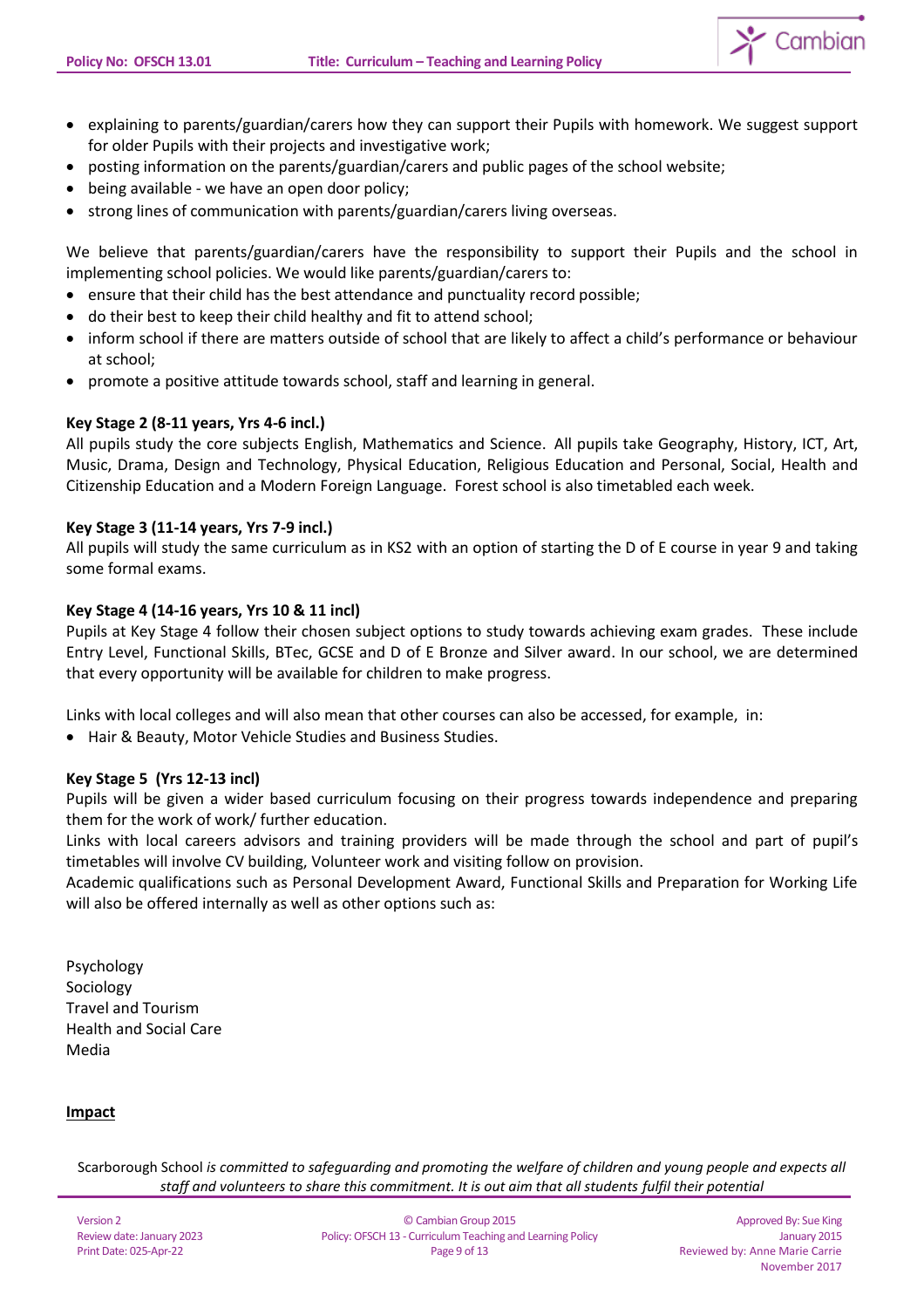

- explaining to parents/guardian/carers how they can support their Pupils with homework. We suggest support for older Pupils with their projects and investigative work;
- posting information on the parents/guardian/carers and public pages of the school website;
- being available we have an open door policy;
- strong lines of communication with parents/guardian/carers living overseas.

We believe that parents/guardian/carers have the responsibility to support their Pupils and the school in implementing school policies. We would like parents/guardian/carers to:

- ensure that their child has the best attendance and punctuality record possible;
- do their best to keep their child healthy and fit to attend school;
- inform school if there are matters outside of school that are likely to affect a child's performance or behaviour at school;
- promote a positive attitude towards school, staff and learning in general.

## **Key Stage 2 (8-11 years, Yrs 4-6 incl.)**

All pupils study the core subjects English, Mathematics and Science. All pupils take Geography, History, ICT, Art, Music, Drama, Design and Technology, Physical Education, Religious Education and Personal, Social, Health and Citizenship Education and a Modern Foreign Language. Forest school is also timetabled each week.

## **Key Stage 3 (11-14 years, Yrs 7-9 incl.)**

All pupils will study the same curriculum as in KS2 with an option of starting the D of E course in year 9 and taking some formal exams.

## **Key Stage 4 (14-16 years, Yrs 10 & 11 incl)**

Pupils at Key Stage 4 follow their chosen subject options to study towards achieving exam grades. These include Entry Level, Functional Skills, BTec, GCSE and D of E Bronze and Silver award. In our school, we are determined that every opportunity will be available for children to make progress.

Links with local colleges and will also mean that other courses can also be accessed, for example, in:

• Hair & Beauty, Motor Vehicle Studies and Business Studies.

## **Key Stage 5 (Yrs 12-13 incl)**

Pupils will be given a wider based curriculum focusing on their progress towards independence and preparing them for the work of work/ further education.

Links with local careers advisors and training providers will be made through the school and part of pupil's timetables will involve CV building, Volunteer work and visiting follow on provision.

Academic qualifications such as Personal Development Award, Functional Skills and Preparation for Working Life will also be offered internally as well as other options such as:

Psychology Sociology Travel and Tourism Health and Social Care Media

## **Impact**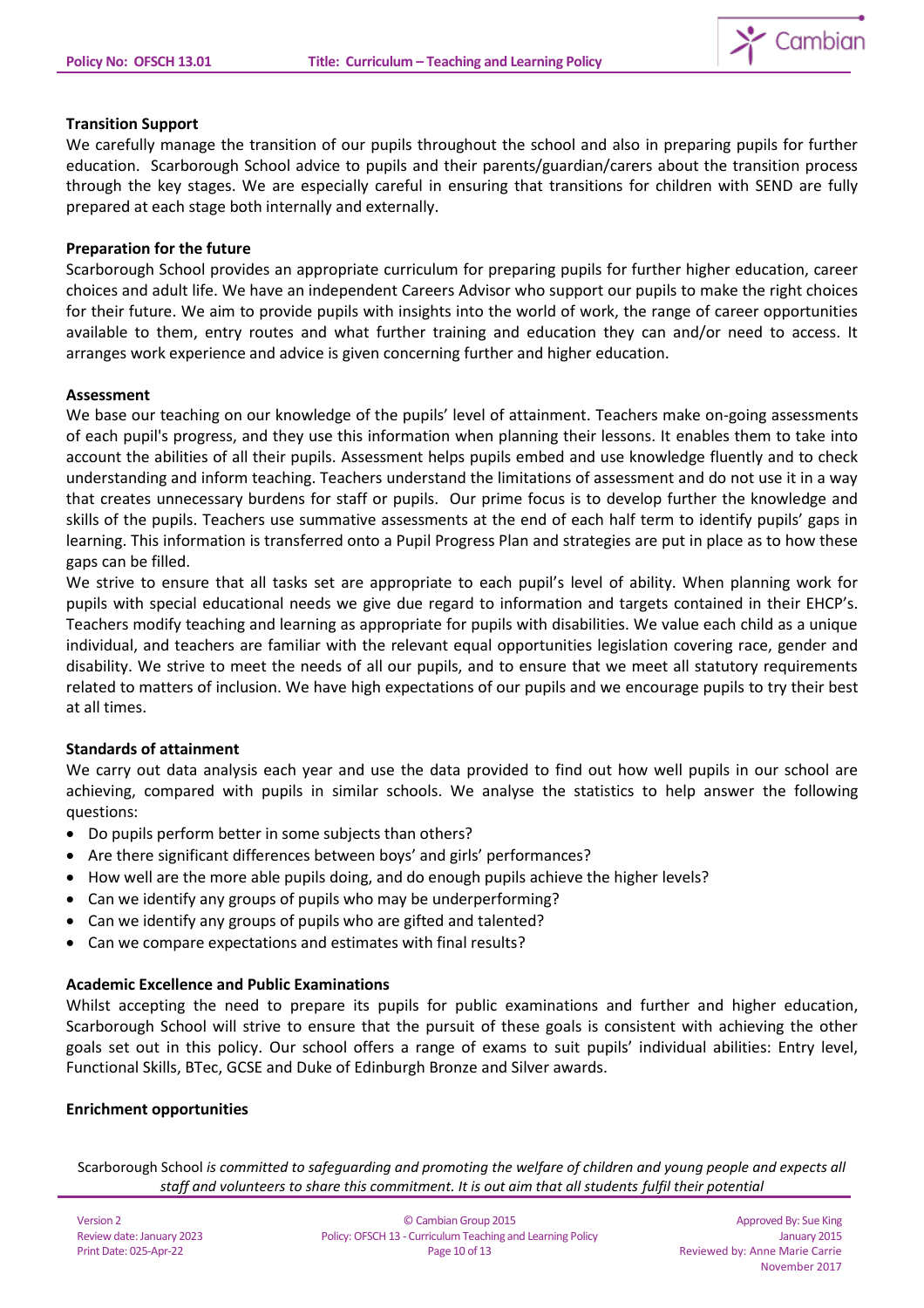

# **Transition Support**

We carefully manage the transition of our pupils throughout the school and also in preparing pupils for further education. Scarborough School advice to pupils and their parents/guardian/carers about the transition process through the key stages. We are especially careful in ensuring that transitions for children with SEND are fully prepared at each stage both internally and externally.

## **Preparation for the future**

Scarborough School provides an appropriate curriculum for preparing pupils for further higher education, career choices and adult life. We have an independent Careers Advisor who support our pupils to make the right choices for their future. We aim to provide pupils with insights into the world of work, the range of career opportunities available to them, entry routes and what further training and education they can and/or need to access. It arranges work experience and advice is given concerning further and higher education.

## **Assessment**

We base our teaching on our knowledge of the pupils' level of attainment. Teachers make on-going assessments of each pupil's progress, and they use this information when planning their lessons. It enables them to take into account the abilities of all their pupils. Assessment helps pupils embed and use knowledge fluently and to check understanding and inform teaching. Teachers understand the limitations of assessment and do not use it in a way that creates unnecessary burdens for staff or pupils. Our prime focus is to develop further the knowledge and skills of the pupils. Teachers use summative assessments at the end of each half term to identify pupils' gaps in learning. This information is transferred onto a Pupil Progress Plan and strategies are put in place as to how these gaps can be filled.

We strive to ensure that all tasks set are appropriate to each pupil's level of ability. When planning work for pupils with special educational needs we give due regard to information and targets contained in their EHCP's. Teachers modify teaching and learning as appropriate for pupils with disabilities. We value each child as a unique individual, and teachers are familiar with the relevant equal opportunities legislation covering race, gender and disability. We strive to meet the needs of all our pupils, and to ensure that we meet all statutory requirements related to matters of inclusion. We have high expectations of our pupils and we encourage pupils to try their best at all times.

# **Standards of attainment**

We carry out data analysis each year and use the data provided to find out how well pupils in our school are achieving, compared with pupils in similar schools. We analyse the statistics to help answer the following questions:

- Do pupils perform better in some subjects than others?
- Are there significant differences between boys' and girls' performances?
- How well are the more able pupils doing, and do enough pupils achieve the higher levels?
- Can we identify any groups of pupils who may be underperforming?
- Can we identify any groups of pupils who are gifted and talented?
- Can we compare expectations and estimates with final results?

# **Academic Excellence and Public Examinations**

Whilst accepting the need to prepare its pupils for public examinations and further and higher education, Scarborough School will strive to ensure that the pursuit of these goals is consistent with achieving the other goals set out in this policy. Our school offers a range of exams to suit pupils' individual abilities: Entry level, Functional Skills, BTec, GCSE and Duke of Edinburgh Bronze and Silver awards.

# **Enrichment opportunities**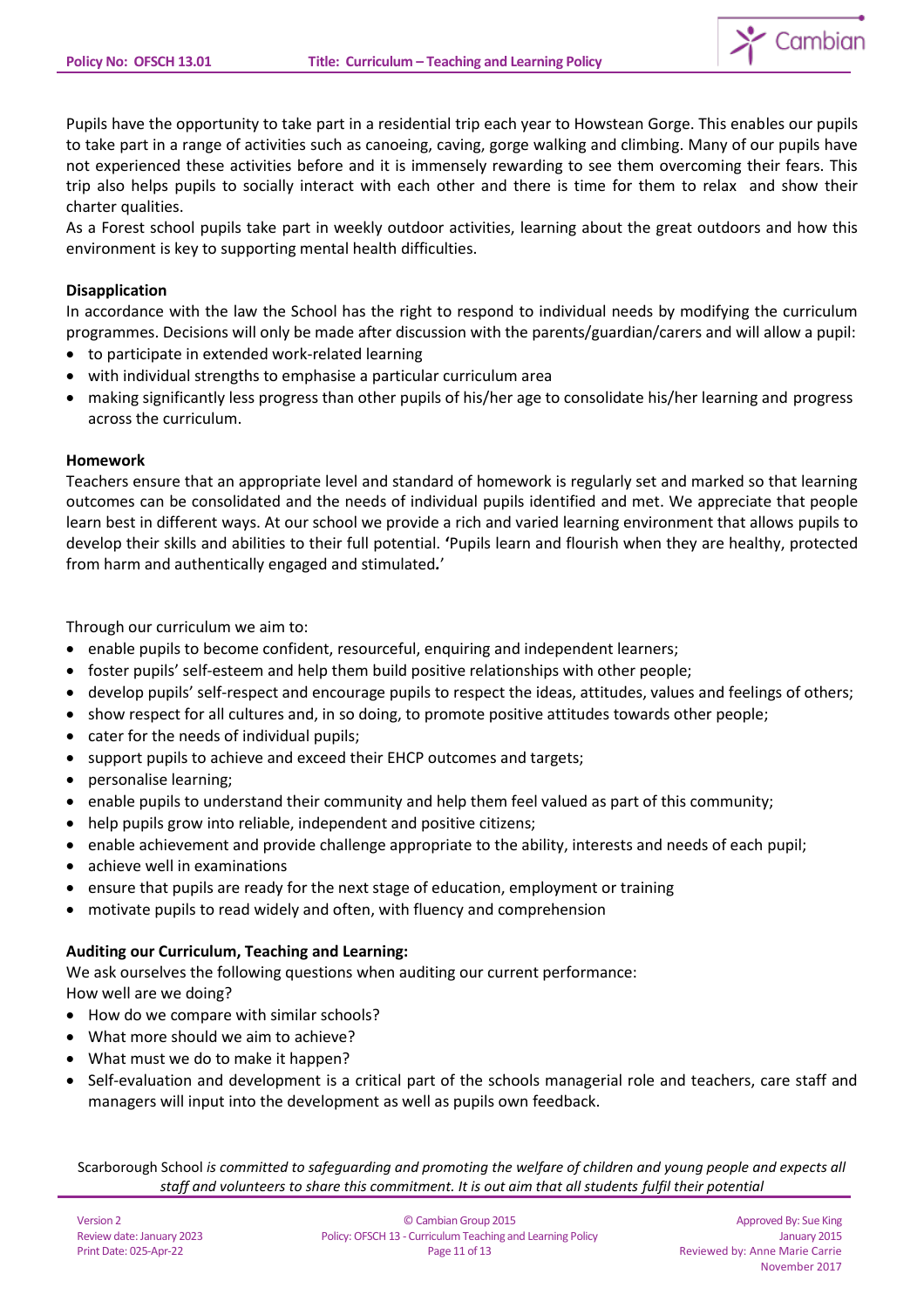

Pupils have the opportunity to take part in a residential trip each year to Howstean Gorge. This enables our pupils to take part in a range of activities such as canoeing, caving, gorge walking and climbing. Many of our pupils have not experienced these activities before and it is immensely rewarding to see them overcoming their fears. This trip also helps pupils to socially interact with each other and there is time for them to relax and show their charter qualities.

As a Forest school pupils take part in weekly outdoor activities, learning about the great outdoors and how this environment is key to supporting mental health difficulties.

## **Disapplication**

In accordance with the law the School has the right to respond to individual needs by modifying the curriculum programmes. Decisions will only be made after discussion with the parents/guardian/carers and will allow a pupil:

- to participate in extended work-related learning
- with individual strengths to emphasise a particular curriculum area
- making significantly less progress than other pupils of his/her age to consolidate his/her learning and progress across the curriculum.

## **Homework**

Teachers ensure that an appropriate level and standard of homework is regularly set and marked so that learning outcomes can be consolidated and the needs of individual pupils identified and met. We appreciate that people learn best in different ways. At our school we provide a rich and varied learning environment that allows pupils to develop their skills and abilities to their full potential. **'**Pupils learn and flourish when they are healthy, protected from harm and authentically engaged and stimulated*.*'

Through our curriculum we aim to:

- enable pupils to become confident, resourceful, enquiring and independent learners;
- foster pupils' self-esteem and help them build positive relationships with other people;
- develop pupils' self-respect and encourage pupils to respect the ideas, attitudes, values and feelings of others;
- show respect for all cultures and, in so doing, to promote positive attitudes towards other people;
- cater for the needs of individual pupils;
- support pupils to achieve and exceed their EHCP outcomes and targets;
- personalise learning;
- enable pupils to understand their community and help them feel valued as part of this community;
- help pupils grow into reliable, independent and positive citizens;
- enable achievement and provide challenge appropriate to the ability, interests and needs of each pupil;
- achieve well in examinations
- ensure that pupils are ready for the next stage of education, employment or training
- motivate pupils to read widely and often, with fluency and comprehension

# **Auditing our Curriculum, Teaching and Learning:**

We ask ourselves the following questions when auditing our current performance:

How well are we doing?

- How do we compare with similar schools?
- What more should we aim to achieve?
- What must we do to make it happen?
- Self-evaluation and development is a critical part of the schools managerial role and teachers, care staff and managers will input into the development as well as pupils own feedback.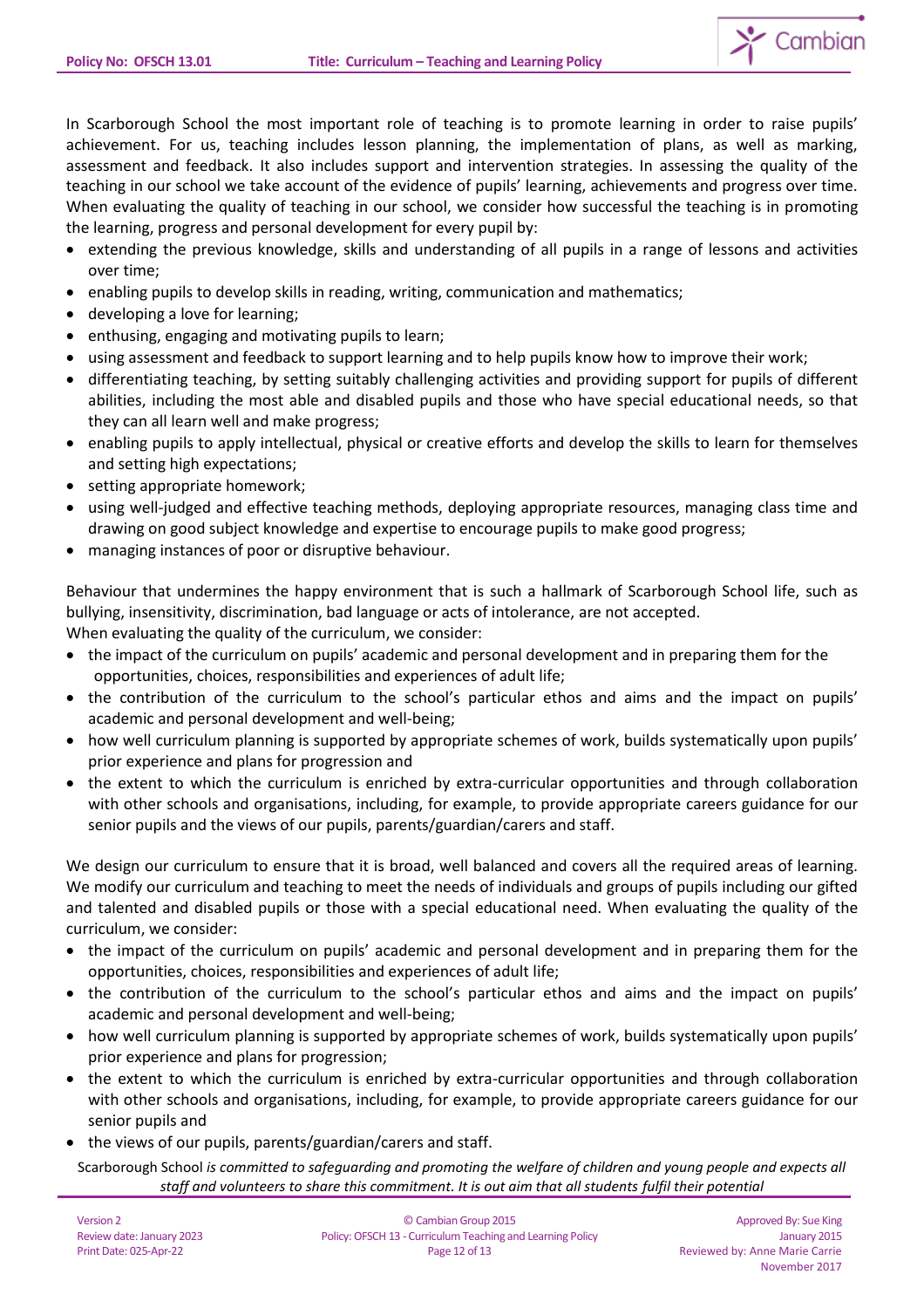

In Scarborough School the most important role of teaching is to promote learning in order to raise pupils' achievement. For us, teaching includes lesson planning, the implementation of plans, as well as marking, assessment and feedback. It also includes support and intervention strategies. In assessing the quality of the teaching in our school we take account of the evidence of pupils' learning, achievements and progress over time. When evaluating the quality of teaching in our school, we consider how successful the teaching is in promoting the learning, progress and personal development for every pupil by:

- extending the previous knowledge, skills and understanding of all pupils in a range of lessons and activities over time;
- enabling pupils to develop skills in reading, writing, communication and mathematics;
- developing a love for learning;
- enthusing, engaging and motivating pupils to learn;
- using assessment and feedback to support learning and to help pupils know how to improve their work;
- differentiating teaching, by setting suitably challenging activities and providing support for pupils of different abilities, including the most able and disabled pupils and those who have special educational needs, so that they can all learn well and make progress;
- enabling pupils to apply intellectual, physical or creative efforts and develop the skills to learn for themselves and setting high expectations;
- setting appropriate homework;
- using well-judged and effective teaching methods, deploying appropriate resources, managing class time and drawing on good subject knowledge and expertise to encourage pupils to make good progress;
- managing instances of poor or disruptive behaviour.

Behaviour that undermines the happy environment that is such a hallmark of Scarborough School life, such as bullying, insensitivity, discrimination, bad language or acts of intolerance, are not accepted. When evaluating the quality of the curriculum, we consider:

- the impact of the curriculum on pupils' academic and personal development and in preparing them for the opportunities, choices, responsibilities and experiences of adult life;
- the contribution of the curriculum to the school's particular ethos and aims and the impact on pupils' academic and personal development and well-being;
- how well curriculum planning is supported by appropriate schemes of work, builds systematically upon pupils' prior experience and plans for progression and
- the extent to which the curriculum is enriched by extra-curricular opportunities and through collaboration with other schools and organisations, including, for example, to provide appropriate careers guidance for our senior pupils and the views of our pupils, parents/guardian/carers and staff.

We design our curriculum to ensure that it is broad, well balanced and covers all the required areas of learning. We modify our curriculum and teaching to meet the needs of individuals and groups of pupils including our gifted and talented and disabled pupils or those with a special educational need. When evaluating the quality of the curriculum, we consider:

- the impact of the curriculum on pupils' academic and personal development and in preparing them for the opportunities, choices, responsibilities and experiences of adult life;
- the contribution of the curriculum to the school's particular ethos and aims and the impact on pupils' academic and personal development and well-being;
- how well curriculum planning is supported by appropriate schemes of work, builds systematically upon pupils' prior experience and plans for progression;
- the extent to which the curriculum is enriched by extra-curricular opportunities and through collaboration with other schools and organisations, including, for example, to provide appropriate careers guidance for our senior pupils and
- the views of our pupils, parents/guardian/carers and staff.